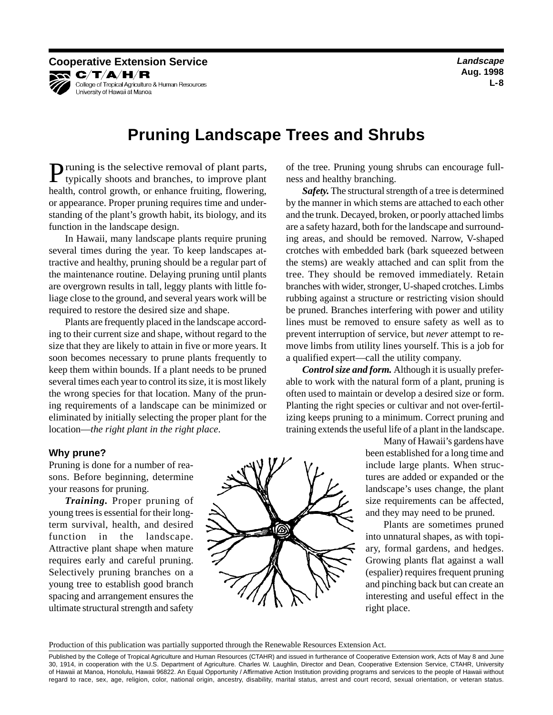**L-8 Aug. 1998** 

**Cooperative Extension Service Landscape**  KR C/T/A/H/R College of Tropical Agriculture & Human Resources University of Hawaii at Manoa

# **Pruning Landscape Trees and Shrubs**

**P**runing is the selective removal of plant parts, typically shoots and branches, to improve plant health, control growth, or enhance fruiting, flowering, or appearance. Proper pruning requires time and understanding of the plant's growth habit, its biology, and its function in the landscape design.

In Hawaii, many landscape plants require pruning several times during the year. To keep landscapes attractive and healthy, pruning should be a regular part of the maintenance routine. Delaying pruning until plants are overgrown results in tall, leggy plants with little foliage close to the ground, and several years work will be required to restore the desired size and shape.

Plants are frequently placed in the landscape according to their current size and shape, without regard to the size that they are likely to attain in five or more years. It soon becomes necessary to prune plants frequently to keep them within bounds. If a plant needs to be pruned several times each year to control its size, it is most likely the wrong species for that location. Many of the pruning requirements of a landscape can be minimized or eliminated by initially selecting the proper plant for the location—*the right plant in the right place*.

of the tree. Pruning young shrubs can encourage fullness and healthy branching.

*Safety.* The structural strength of a tree is determined by the manner in which stems are attached to each other and the trunk. Decayed, broken, or poorly attached limbs are a safety hazard, both for the landscape and surrounding areas, and should be removed. Narrow, V-shaped crotches with embedded bark (bark squeezed between the stems) are weakly attached and can split from the tree. They should be removed immediately. Retain branches with wider, stronger, U-shaped crotches. Limbs rubbing against a structure or restricting vision should be pruned. Branches interfering with power and utility lines must be removed to ensure safety as well as to prevent interruption of service, but *never* attempt to remove limbs from utility lines yourself. This is a job for a qualified expert—call the utility company.

*Control size and form.* Although it is usually preferable to work with the natural form of a plant, pruning is often used to maintain or develop a desired size or form. Planting the right species or cultivar and not over-fertilizing keeps pruning to a minimum. Correct pruning and training extends the useful life of a plant in the landscape.

### **Why prune?**

Pruning is done for a number of reasons. Before beginning, determine your reasons for pruning.

*Training.* Proper pruning of young trees is essential for their longterm survival, health, and desired function in the landscape. Attractive plant shape when mature requires early and careful pruning. Selectively pruning branches on a young tree to establish good branch spacing and arrangement ensures the ultimate structural strength and safety



Many of Hawaii's gardens have been established for a long time and include large plants. When structures are added or expanded or the landscape's uses change, the plant size requirements can be affected, and they may need to be pruned.

Plants are sometimes pruned into unnatural shapes, as with topiary, formal gardens, and hedges. Growing plants flat against a wall (espalier) requires frequent pruning and pinching back but can create an interesting and useful effect in the right place.

Production of this publication was partially supported through the Renewable Resources Extension Act.

Published by the College of Tropical Agriculture and Human Resources (CTAHR) and issued in furtherance of Cooperative Extension work, Acts of May 8 and June 30, 1914, in cooperation with the U.S. Department of Agriculture. Charles W. Laughlin, Director and Dean, Cooperative Extension Service, CTAHR, University of Hawaii at Manoa, Honolulu, Hawaii 96822. An Equal Opportunity / Affirmative Action Institution providing programs and services to the people of Hawaii without regard to race, sex, age, religion, color, national origin, ancestry, disability, marital status, arrest and court record, sexual orientation, or veteran status.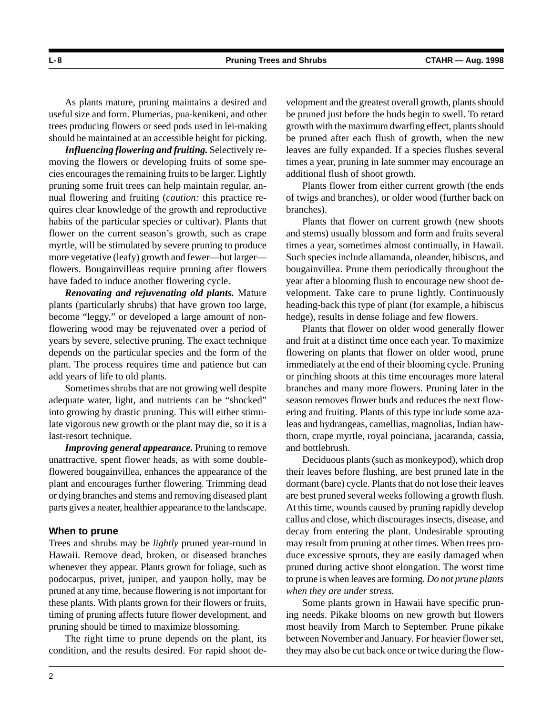**L-8 Pruning Trees and Shrubs CTAHR — Aug. 1998** 

As plants mature, pruning maintains a desired and useful size and form. Plumerias, pua-kenikeni, and other trees producing flowers or seed pods used in lei-making should be maintained at an accessible height for picking.

*Influencing flowering and fruiting.* Selectively removing the flowers or developing fruits of some species encourages the remaining fruits to be larger. Lightly pruning some fruit trees can help maintain regular, annual flowering and fruiting (*caution:* this practice requires clear knowledge of the growth and reproductive habits of the particular species or cultivar). Plants that flower on the current season's growth, such as crape myrtle, will be stimulated by severe pruning to produce more vegetative (leafy) growth and fewer—but larger flowers. Bougainvilleas require pruning after flowers have faded to induce another flowering cycle.

*Renovating and rejuvenating old plants.* Mature plants (particularly shrubs) that have grown too large, become "leggy," or developed a large amount of nonflowering wood may be rejuvenated over a period of years by severe, selective pruning. The exact technique depends on the particular species and the form of the plant. The process requires time and patience but can add years of life to old plants.

Sometimes shrubs that are not growing well despite adequate water, light, and nutrients can be "shocked" into growing by drastic pruning. This will either stimulate vigorous new growth or the plant may die, so it is a last-resort technique.

*Improving general appearance.* Pruning to remove unattractive, spent flower heads, as with some doubleflowered bougainvillea, enhances the appearance of the plant and encourages further flowering. Trimming dead or dying branches and stems and removing diseased plant parts gives a neater, healthier appearance to the landscape.

#### **When to prune**

Trees and shrubs may be *lightly* pruned year-round in Hawaii. Remove dead, broken, or diseased branches whenever they appear. Plants grown for foliage, such as podocarpus, privet, juniper, and yaupon holly, may be pruned at any time, because flowering is not important for these plants. With plants grown for their flowers or fruits, timing of pruning affects future flower development, and pruning should be timed to maximize blossoming.

The right time to prune depends on the plant, its condition, and the results desired. For rapid shoot development and the greatest overall growth, plants should be pruned just before the buds begin to swell. To retard growth with the maximum dwarfing effect, plants should be pruned after each flush of growth, when the new leaves are fully expanded. If a species flushes several times a year, pruning in late summer may encourage an additional flush of shoot growth.

Plants flower from either current growth (the ends of twigs and branches), or older wood (further back on branches).

Plants that flower on current growth (new shoots and stems) usually blossom and form and fruits several times a year, sometimes almost continually, in Hawaii. Such species include allamanda, oleander, hibiscus, and bougainvillea. Prune them periodically throughout the year after a blooming flush to encourage new shoot development. Take care to prune lightly. Continuously heading-back this type of plant (for example, a hibiscus hedge), results in dense foliage and few flowers.

Plants that flower on older wood generally flower and fruit at a distinct time once each year. To maximize flowering on plants that flower on older wood, prune immediately at the end of their blooming cycle. Pruning or pinching shoots at this time encourages more lateral branches and many more flowers. Pruning later in the season removes flower buds and reduces the next flowering and fruiting. Plants of this type include some azaleas and hydrangeas, camellias, magnolias, Indian hawthorn, crape myrtle, royal poinciana, jacaranda, cassia, and bottlebrush.

Deciduous plants (such as monkeypod), which drop their leaves before flushing, are best pruned late in the dormant (bare) cycle. Plants that do not lose their leaves are best pruned several weeks following a growth flush. At this time, wounds caused by pruning rapidly develop callus and close, which discourages insects, disease, and decay from entering the plant. Undesirable sprouting may result from pruning at other times. When trees produce excessive sprouts, they are easily damaged when pruned during active shoot elongation. The worst time to prune is when leaves are forming. *Do not prune plants when they are under stress.* 

Some plants grown in Hawaii have specific pruning needs. Pikake blooms on new growth but flowers most heavily from March to September. Prune pikake between November and January. For heavier flower set, they may also be cut back once or twice during the flow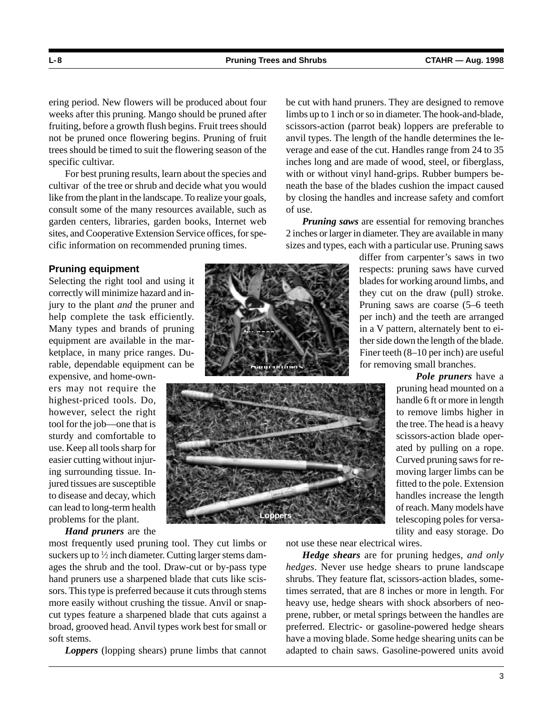ering period. New flowers will be produced about four weeks after this pruning. Mango should be pruned after fruiting, before a growth flush begins. Fruit trees should not be pruned once flowering begins. Pruning of fruit trees should be timed to suit the flowering season of the specific cultivar.

For best pruning results, learn about the species and cultivar of the tree or shrub and decide what you would like from the plant in the landscape. To realize your goals, consult some of the many resources available, such as garden centers, libraries, garden books, Internet web sites, and Cooperative Extension Service offices, for specific information on recommended pruning times.

#### **Pruning equipment**

Selecting the right tool and using it correctly will minimize hazard and injury to the plant *and* the pruner and help complete the task efficiently. Many types and brands of pruning equipment are available in the marketplace, in many price ranges. Durable, dependable equipment can be expensive, and home-own-

ers may not require the highest-priced tools. Do, however, select the right tool for the job—one that is sturdy and comfortable to use. Keep all tools sharp for easier cutting without injuring surrounding tissue. Injured tissues are susceptible to disease and decay, which can lead to long-term health problems for the plant.

*Hand pruners* are the

most frequently used pruning tool. They cut limbs or suckers up to  $\frac{1}{2}$  inch diameter. Cutting larger stems damages the shrub and the tool. Draw-cut or by-pass type hand pruners use a sharpened blade that cuts like scissors. This type is preferred because it cuts through stems more easily without crushing the tissue. Anvil or snapcut types feature a sharpened blade that cuts against a broad, grooved head. Anvil types work best for small or soft stems.

*Loppers* (lopping shears) prune limbs that cannot

be cut with hand pruners. They are designed to remove limbs up to 1 inch or so in diameter. The hook-and-blade, scissors-action (parrot beak) loppers are preferable to anvil types. The length of the handle determines the leverage and ease of the cut. Handles range from 24 to 35 inches long and are made of wood, steel, or fiberglass, with or without vinyl hand-grips. Rubber bumpers beneath the base of the blades cushion the impact caused by closing the handles and increase safety and comfort of use.

*Pruning saws* are essential for removing branches 2 inches or larger in diameter. They are available in many sizes and types, each with a particular use. Pruning saws

> differ from carpenter's saws in two respects: pruning saws have curved blades for working around limbs, and they cut on the draw (pull) stroke. Pruning saws are coarse (5–6 teeth per inch) and the teeth are arranged in a V pattern, alternately bent to either side down the length of the blade. Finer teeth (8–10 per inch) are useful for removing small branches.

> > *Pole pruners* have a pruning head mounted on a handle 6 ft or more in length to remove limbs higher in the tree. The head is a heavy scissors-action blade operated by pulling on a rope. Curved pruning saws for removing larger limbs can be fitted to the pole. Extension handles increase the length of reach. Many models have telescoping poles for versatility and easy storage. Do

not use these near electrical wires.

*Hedge shears* are for pruning hedges, *and only hedges*. Never use hedge shears to prune landscape shrubs. They feature flat, scissors-action blades, sometimes serrated, that are 8 inches or more in length. For heavy use, hedge shears with shock absorbers of neoprene, rubber, or metal springs between the handles are preferred. Electric- or gasoline-powered hedge shears have a moving blade. Some hedge shearing units can be adapted to chain saws. Gasoline-powered units avoid



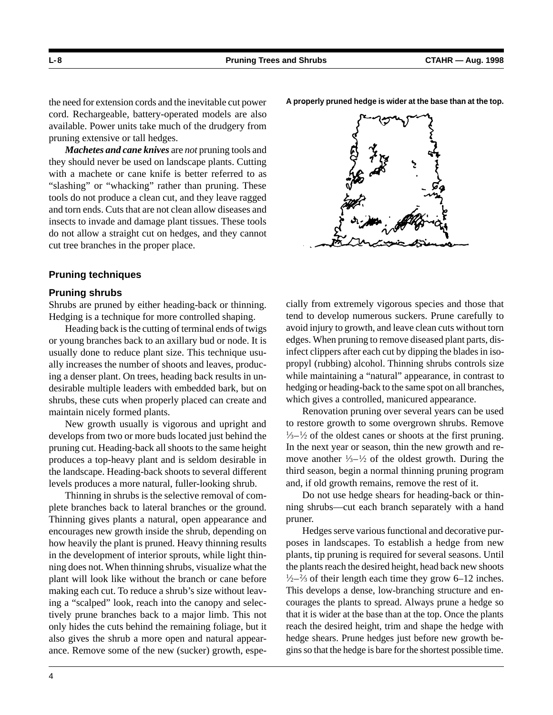the need for extension cords and the inevitable cut power cord. Rechargeable, battery-operated models are also available. Power units take much of the drudgery from pruning extensive or tall hedges.

*Machetes and cane knives* are *not* pruning tools and they should never be used on landscape plants. Cutting with a machete or cane knife is better referred to as "slashing" or "whacking" rather than pruning. These tools do not produce a clean cut, and they leave ragged and torn ends. Cuts that are not clean allow diseases and insects to invade and damage plant tissues. These tools do not allow a straight cut on hedges, and they cannot cut tree branches in the proper place.

#### **Pruning techniques**

#### **Pruning shrubs**

Shrubs are pruned by either heading-back or thinning. Hedging is a technique for more controlled shaping.

Heading back is the cutting of terminal ends of twigs or young branches back to an axillary bud or node. It is usually done to reduce plant size. This technique usually increases the number of shoots and leaves, producing a denser plant. On trees, heading back results in undesirable multiple leaders with embedded bark, but on shrubs, these cuts when properly placed can create and maintain nicely formed plants.

New growth usually is vigorous and upright and develops from two or more buds located just behind the pruning cut. Heading-back all shoots to the same height produces a top-heavy plant and is seldom desirable in the landscape. Heading-back shoots to several different levels produces a more natural, fuller-looking shrub.

Thinning in shrubs is the selective removal of complete branches back to lateral branches or the ground. Thinning gives plants a natural, open appearance and encourages new growth inside the shrub, depending on how heavily the plant is pruned. Heavy thinning results in the development of interior sprouts, while light thinning does not. When thinning shrubs, visualize what the plant will look like without the branch or cane before making each cut. To reduce a shrub's size without leaving a "scalped" look, reach into the canopy and selectively prune branches back to a major limb. This not only hides the cuts behind the remaining foliage, but it also gives the shrub a more open and natural appearance. Remove some of the new (sucker) growth, espe**A properly pruned hedge is wider at the base than at the top.** 



cially from extremely vigorous species and those that tend to develop numerous suckers. Prune carefully to avoid injury to growth, and leave clean cuts without torn edges. When pruning to remove diseased plant parts, disinfect clippers after each cut by dipping the blades in isopropyl (rubbing) alcohol. Thinning shrubs controls size while maintaining a "natural" appearance, in contrast to hedging or heading-back to the same spot on all branches, which gives a controlled, manicured appearance.

Renovation pruning over several years can be used to restore growth to some overgrown shrubs. Remove  $\frac{1}{3} - \frac{1}{2}$  of the oldest canes or shoots at the first pruning. In the next year or season, thin the new growth and remove another  $\frac{1}{3} - \frac{1}{2}$  of the oldest growth. During the third season, begin a normal thinning pruning program and, if old growth remains, remove the rest of it.

Do not use hedge shears for heading-back or thinning shrubs—cut each branch separately with a hand pruner.

Hedges serve various functional and decorative purposes in landscapes. To establish a hedge from new plants, tip pruning is required for several seasons. Until the plants reach the desired height, head back new shoots  $\frac{1}{2}$ – $\frac{2}{3}$  of their length each time they grow 6–12 inches. This develops a dense, low-branching structure and encourages the plants to spread. Always prune a hedge so that it is wider at the base than at the top. Once the plants reach the desired height, trim and shape the hedge with hedge shears. Prune hedges just before new growth begins so that the hedge is bare for the shortest possible time.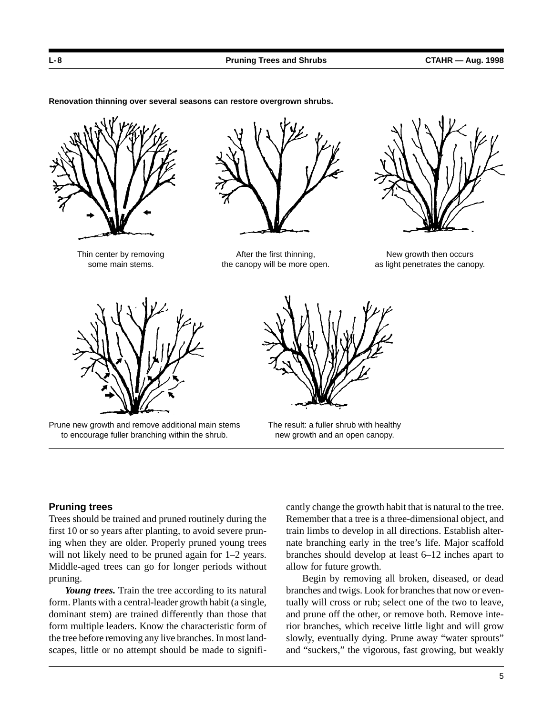**Renovation thinning over several seasons can restore overgrown shrubs.** 





Thin center by removing Thin and The After the first thinning, New growth then occurs



some main stems. the canopy will be more open. as light penetrates the canopy.



Prune new growth and remove additional main stems The result: a fuller shrub with healthy to encourage fuller branching within the shrub. The we growth and an open canopy.



## **Pruning trees**

Trees should be trained and pruned routinely during the first 10 or so years after planting, to avoid severe pruning when they are older. Properly pruned young trees will not likely need to be pruned again for  $1-2$  years. Middle-aged trees can go for longer periods without pruning.

*Young trees.* Train the tree according to its natural form. Plants with a central-leader growth habit (a single, dominant stem) are trained differently than those that form multiple leaders. Know the characteristic form of the tree before removing any live branches. In most landscapes, little or no attempt should be made to significantly change the growth habit that is natural to the tree. Remember that a tree is a three-dimensional object, and train limbs to develop in all directions. Establish alternate branching early in the tree's life. Major scaffold branches should develop at least 6–12 inches apart to allow for future growth.

Begin by removing all broken, diseased, or dead branches and twigs. Look for branches that now or eventually will cross or rub; select one of the two to leave, and prune off the other, or remove both. Remove interior branches, which receive little light and will grow slowly, eventually dying. Prune away "water sprouts" and "suckers," the vigorous, fast growing, but weakly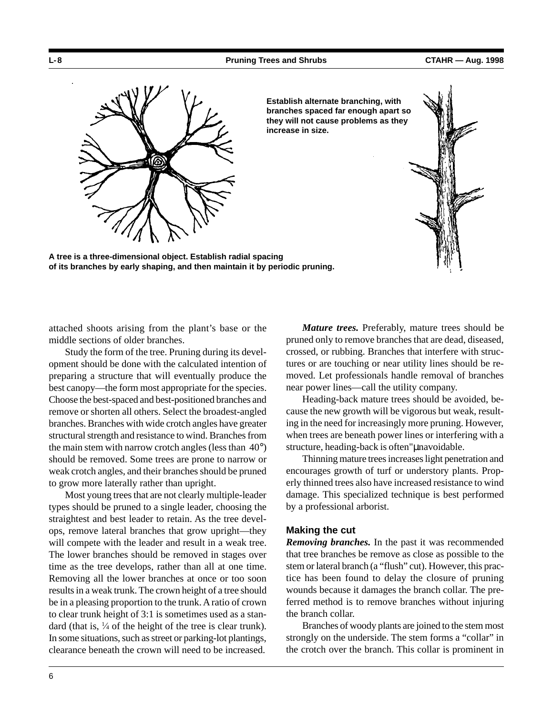

**Establish alternate branching, with branches spaced far enough apart so they will not cause problems as they increase in size.** 

**A tree is a three-dimensional object. Establish radial spacing of its branches by early shaping, and then maintain it by periodic pruning.** 

attached shoots arising from the plant's base or the middle sections of older branches.

Study the form of the tree. Pruning during its development should be done with the calculated intention of preparing a structure that will eventually produce the best canopy—the form most appropriate for the species. Choose the best-spaced and best-positioned branches and remove or shorten all others. Select the broadest-angled branches. Branches with wide crotch angles have greater structural strength and resistance to wind. Branches from the main stem with narrow crotch angles (less than 40°) should be removed. Some trees are prone to narrow or weak crotch angles, and their branches should be pruned to grow more laterally rather than upright.

Most young trees that are not clearly multiple-leader types should be pruned to a single leader, choosing the straightest and best leader to retain. As the tree develops, remove lateral branches that grow upright—they will compete with the leader and result in a weak tree. The lower branches should be removed in stages over time as the tree develops, rather than all at one time. Removing all the lower branches at once or too soon results in a weak trunk. The crown height of a tree should be in a pleasing proportion to the trunk. A ratio of crown to clear trunk height of 3:1 is sometimes used as a standard (that is,  $\frac{1}{4}$  of the height of the tree is clear trunk). In some situations, such as street or parking-lot plantings, clearance beneath the crown will need to be increased.

*Mature trees.* Preferably, mature trees should be pruned only to remove branches that are dead, diseased, crossed, or rubbing. Branches that interfere with structures or are touching or near utility lines should be removed. Let professionals handle removal of branches near power lines—call the utility company.

Heading-back mature trees should be avoided, because the new growth will be vigorous but weak, resulting in the need for increasingly more pruning. However, when trees are beneath power lines or interfering with a structure, heading-back is often"µnavoidable.

Thinning mature trees increases light penetration and encourages growth of turf or understory plants. Properly thinned trees also have increased resistance to wind damage. This specialized technique is best performed by a professional arborist.

#### **Making the cut**

*Removing branches.* In the past it was recommended that tree branches be remove as close as possible to the stem or lateral branch (a "flush" cut). However, this practice has been found to delay the closure of pruning wounds because it damages the branch collar. The preferred method is to remove branches without injuring the branch collar.

Branches of woody plants are joined to the stem most strongly on the underside. The stem forms a "collar" in the crotch over the branch. This collar is prominent in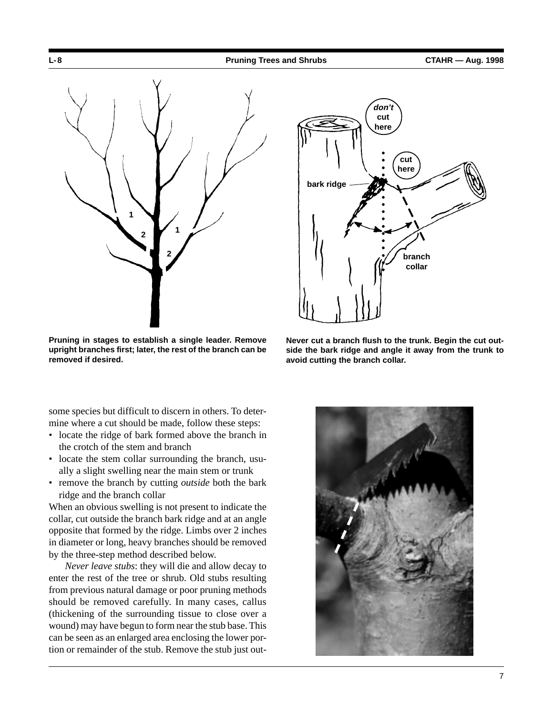

**Pruning in stages to establish a single leader. Remove upright branches first; later, the rest of the branch can be removed if desired.** 

some species but difficult to discern in others. To determine where a cut should be made, follow these steps:

- locate the ridge of bark formed above the branch in the crotch of the stem and branch
- locate the stem collar surrounding the branch, usually a slight swelling near the main stem or trunk
- remove the branch by cutting *outside* both the bark ridge and the branch collar

When an obvious swelling is not present to indicate the collar, cut outside the branch bark ridge and at an angle opposite that formed by the ridge. Limbs over 2 inches in diameter or long, heavy branches should be removed by the three-step method described below.

*Never leave stubs*: they will die and allow decay to enter the rest of the tree or shrub. Old stubs resulting from previous natural damage or poor pruning methods should be removed carefully. In many cases, callus (thickening of the surrounding tissue to close over a wound) may have begun to form near the stub base. This can be seen as an enlarged area enclosing the lower portion or remainder of the stub. Remove the stub just out-



**Never cut a branch flush to the trunk. Begin the cut outside the bark ridge and angle it away from the trunk to avoid cutting the branch collar.**